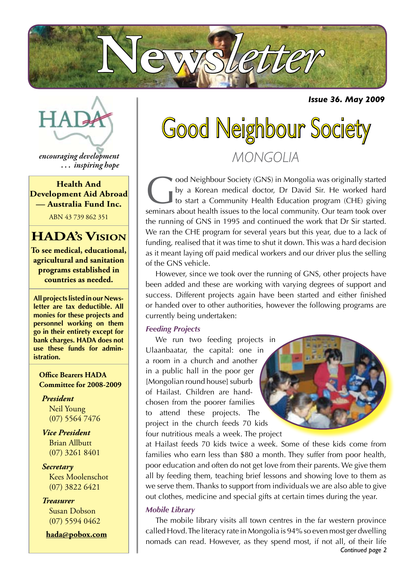

*Issue 36. May 2009*



*encouraging development . . . inspiring hope*

**Health And Development Aid Abroad — Australia Fund Inc.**

ABN 43 739 862 351

### **HADA's Vision**

**To see medical, educational, agricultural and sanitation programs established in countries as needed.**

**All projects listed in our Newsletter are tax deductible. All monies for these projects and personnel working on them go in their entirety except for bank charges. HADA does not use these funds for administration.**

**Office Bearers HADA Committee for 2008-2009**

*President* Neil Young (07) 5564 7476

*Vice President* Brian Allbutt (07) 3261 8401

*Secretary* Kees Moolenschot (07) 3822 6421

*Treasurer* Susan Dobson (07) 5594 0462

**hada@pobox.com**

# Good Neighbour Society *MONGOLIA*

Good Neighbour Society (GNS) in Mongolia was originally started<br>by a Korean medical doctor, Dr David Sir. He worked hard<br>to start a Community Health Education program (CHE) giving<br>sominars about boalth issues to the local by a Korean medical doctor, Dr David Sir. He worked hard to start a Community Health Education program (CHE) giving seminars about health issues to the local community. Our team took over the running of GNS in 1995 and continued the work that Dr Sir started. We ran the CHE program for several years but this year, due to a lack of funding, realised that it was time to shut it down. This was a hard decision as it meant laying off paid medical workers and our driver plus the selling of the GNS vehicle.

However, since we took over the running of GNS, other projects have been added and these are working with varying degrees of support and success. Different projects again have been started and either finished or handed over to other authorities, however the following programs are currently being undertaken:

#### *Feeding Projects*

We run two feeding projects in Ulaanbaatar, the capital: one in a room in a church and another in a public hall in the poor ger [Mongolian round house] suburb of Hailast. Children are handchosen from the poorer families to attend these projects. The project in the church feeds 70 kids four nutritious meals a week. The project



at Hailast feeds 70 kids twice a week. Some of these kids come from families who earn less than \$80 a month. They suffer from poor health, poor education and often do not get love from their parents. We give them all by feeding them, teaching brief lessons and showing love to them as we serve them. Thanks to support from individuals we are also able to give out clothes, medicine and special gifts at certain times during the year.

#### *Mobile Library*

*Continued page 2* The mobile library visits all town centres in the far western province called Hovd. The literacy rate in Mongolia is 94% so even most ger dwelling nomads can read. However, as they spend most, if not all, of their life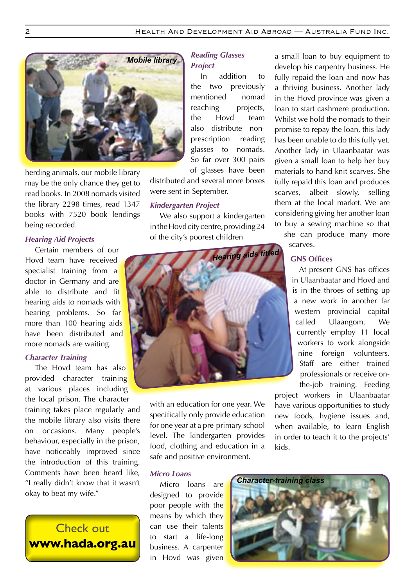

herding animals, our mobile library may be the only chance they get to read books. In 2008 nomads visited the library 2298 times, read 1347 books with 7520 book lendings being recorded.

#### *Hearing Aid Projects*

Certain members of our Hovd team have received specialist training from a doctor in Germany and are able to distribute and fit hearing aids to nomads with hearing problems. So far more than 100 hearing aids have been distributed and more nomads are waiting.

#### *Character Training*

The Hovd team has also provided character training at various places including the local prison. The character training takes place regularly and the mobile library also visits there on occasions. Many people's behaviour, especially in the prison, have noticeably improved since the introduction of this training. Comments have been heard like, "I really didn't know that it wasn't okay to beat my wife."

### Check out www.hada.org.au

#### *Reading Glasses Project*

In addition to the two previously mentioned nomad reaching projects, the Hovd team also distribute nonprescription reading glasses to nomads. So far over 300 pairs of glasses have been

distributed and several more boxes were sent in September.

#### *Kindergarten Project*

We also support a kindergarten in the Hovd city centre, providing 24 of the city's poorest children



with an education for one year. We specifically only provide education for one year at a pre-primary school level. The kindergarten provides food, clothing and education in a safe and positive environment.

#### *Micro Loans*

Micro loans are designed to provide poor people with the means by which they can use their talents to start a life-long business. A carpenter in Hovd was given a small loan to buy equipment to develop his carpentry business. He fully repaid the loan and now has a thriving business. Another lady in the Hovd province was given a loan to start cashmere production. Whilst we hold the nomads to their promise to repay the loan, this lady has been unable to do this fully yet. Another lady in Ulaanbaatar was given a small loan to help her buy materials to hand-knit scarves. She fully repaid this loan and produces scarves, albeit slowly, selling them at the local market. We are considering giving her another loan to buy a sewing machine so that

she can produce many more scarves.

#### **GNS Offices**

At present GNS has offices in Ulaanbaatar and Hovd and is in the throes of setting up a new work in another far western provincial capital called Ulaangom. We currently employ 11 local workers to work alongside nine foreign volunteers. Staff are either trained professionals or receive onthe-job training. Feeding

project workers in Ulaanbaatar have various opportunities to study new foods, hygiene issues and, when available, to learn English in order to teach it to the projects' kids.

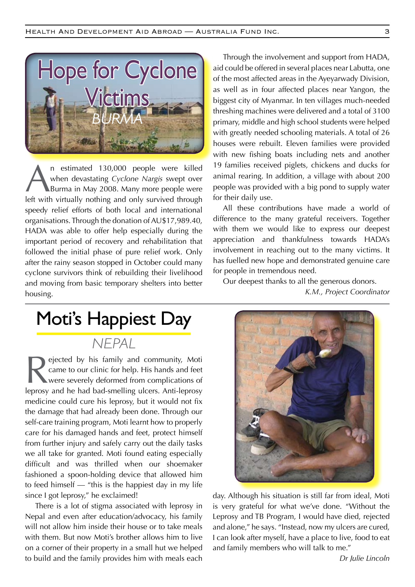

n estimated 130,000 people were killed<br>when devastating Cyclone Nargis swept over<br>Burma in May 2008. Many more people were<br>left with virtually pothing and only survived through when devastating *Cyclone Nargis* swept over Burma in May 2008. Many more people were left with virtually nothing and only survived through speedy relief efforts of both local and international organisations. Through the donation of AU\$17,989.40, HADA was able to offer help especially during the important period of recovery and rehabilitation that followed the initial phase of pure relief work. Only after the rainy season stopped in October could many cyclone survivors think of rebuilding their livelihood and moving from basic temporary shelters into better housing.

Through the involvement and support from HADA, aid could be offered in several places near Labutta, one of the most affected areas in the Ayeyarwady Division, as well as in four affected places near Yangon, the biggest city of Myanmar. In ten villages much-needed threshing machines were delivered and a total of 3100 primary, middle and high school students were helped with greatly needed schooling materials. A total of 26 houses were rebuilt. Eleven families were provided with new fishing boats including nets and another 19 families received piglets, chickens and ducks for animal rearing. In addition, a village with about 200 people was provided with a big pond to supply water for their daily use.

All these contributions have made a world of difference to the many grateful receivers. Together with them we would like to express our deepest appreciation and thankfulness towards HADA's involvement in reaching out to the many victims. It has fuelled new hope and demonstrated genuine care for people in tremendous need.

Our deepest thanks to all the generous donors. *K.M., Project Coordinator*

## Moti's Happiest Day

*NEPAL*

Rejected by his family and community, Motican<br>came to our clinic for help. His hands and feet<br>were severely deformed from complications of<br>lengths and had bad-smalling ulcars. Anti-lengths came to our clinic for help. His hands and feet were severely deformed from complications of leprosy and he had bad-smelling ulcers. Anti-leprosy medicine could cure his leprosy, but it would not fix the damage that had already been done. Through our self-care training program, Moti learnt how to properly care for his damaged hands and feet, protect himself from further injury and safely carry out the daily tasks we all take for granted. Moti found eating especially difficult and was thrilled when our shoemaker fashioned a spoon-holding device that allowed him to feed himself — "this is the happiest day in my life since I got leprosy," he exclaimed!

 There is a lot of stigma associated with leprosy in Nepal and even after education/advocacy, his family will not allow him inside their house or to take meals with them. But now Moti's brother allows him to live on a corner of their property in a small hut we helped to build and the family provides him with meals each



day. Although his situation is still far from ideal, Moti is very grateful for what we've done. "Without the Leprosy and TB Program, I would have died, rejected and alone," he says. "Instead, now my ulcers are cured, I can look after myself, have a place to live, food to eat and family members who will talk to me."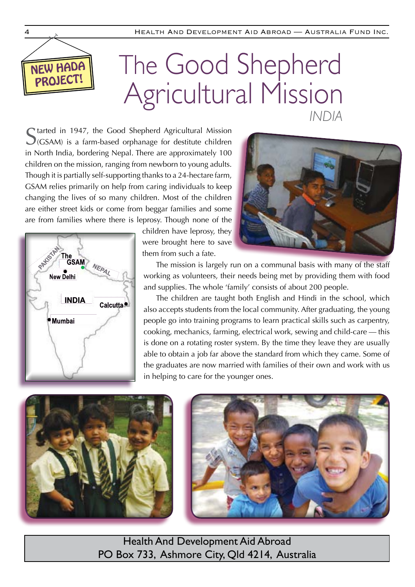

# PROJECT! The Good Shepherd Agricultural Mission *INDIA*

Started in 1947, the Good Shepherd Agricultural Mission S(GSAM) is a farm-based orphanage for destitute children in North India, bordering Nepal. There are approximately 100 children on the mission, ranging from newborn to young adults. Though it is partially self-supporting thanks to a 24-hectare farm, GSAM relies primarily on help from caring individuals to keep changing the lives of so many children. Most of the children are either street kids or come from beggar families and some are from families where there is leprosy. Though none of the



children have leprosy, they were brought here to save them from such a fate.

The mission is largely run on a communal basis with many of the staff working as volunteers, their needs being met by providing them with food and supplies. The whole 'family' consists of about 200 people.

The children are taught both English and Hindi in the school, which also accepts students from the local community. After graduating, the young people go into training programs to learn practical skills such as carpentry, cooking, mechanics, farming, electrical work, sewing and child-care — this is done on a rotating roster system. By the time they leave they are usually able to obtain a job far above the standard from which they came. Some of the graduates are now married with families of their own and work with us in helping to care for the younger ones.





Health And Development Aid Abroad PO Box 733, Ashmore City, Qld 4214, Australia

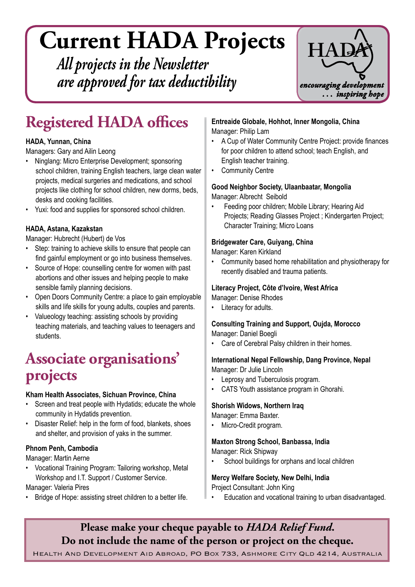# **Current HADA Projects**

*All projects in the Newsletter are approved for tax deductibility*



## **Registered HADA offices**

#### **HADA, Yunnan, China**

Managers: Gary and Ailin Leong

- Ninglang: Micro Enterprise Development; sponsoring school children, training English teachers, large clean water projects, medical surgeries and medications, and school projects like clothing for school children, new dorms, beds, desks and cooking facilities.
- Yuxi: food and supplies for sponsored school children.

#### **HADA, Astana, Kazakstan**

Manager: Hubrecht (Hubert) de Vos

- Step: training to achieve skills to ensure that people can find gainful employment or go into business themselves.
- • Source of Hope: counselling centre for women with past abortions and other issues and helping people to make sensible family planning decisions.
- Open Doors Community Centre: a place to gain employable skills and life skills for young adults, couples and parents.
- Valueology teaching: assisting schools by providing teaching materials, and teaching values to teenagers and students.

## **Associate organisations' projects**

#### **Kham Health Associates, Sichuan Province, China**

- Screen and treat people with Hydatids; educate the whole community in Hydatids prevention.
- • Disaster Relief: help in the form of food, blankets, shoes and shelter, and provision of yaks in the summer.

#### **Phnom Penh, Cambodia**

Manager: Martin Aerne 

Vocational Training Program: Tailoring workshop, Metal Workshop and I.T. Support / Customer Service.

Manager: Valeria Pires

Bridge of Hope: assisting street children to a better life.

**Entreaide Globale, Hohhot, Inner Mongolia, China** Manager: Philip Lam

- A Cup of Water Community Centre Project: provide finances for poor children to attend school; teach English, and English teacher training.
- • Community Centre

**Good Neighbor Society, Ulaanbaatar, Mongolia** Manager: Albrecht Seibold

Feeding poor children; Mobile Library; Hearing Aid Projects; Reading Glasses Project ; Kindergarten Project; Character Training; Micro Loans

#### **Bridgewater Care, Guiyang, China**

Manager: Karen Kirkland

• Community based home rehabilitation and physiotherapy for recently disabled and trauma patients.

#### **Literacy Project, Côte d'lvoire, West Africa**

Manager: Denise Rhodes

• Literacy for adults.

#### **Consulting Training and Support, Oujda, Morocco** Manager: Daniel Boegli

Care of Cerebral Palsy children in their homes.

#### **International Nepal Fellowship, Dang Province, Nepal** Manager: Dr Julie Lincoln

- • Leprosy and Tuberculosis program.
- CATS Youth assistance program in Ghorahi.

#### **Shorish Widows, Northern Iraq**

Manager: Emma Baxter.

Micro-Credit program.

#### **Maxton Strong School, Banbassa, India**

Manager: Rick Shipway

School buildings for orphans and local children

#### **Mercy Welfare Society, New Delhi, India**

Project Consultant: John King

Education and vocational training to urban disadvantaged.

### **Please make your cheque payable to** *HADA Relief Fund***. Do not include the name of the person or project on the cheque.**

Health And Development Aid Abroad, PO Box 733, Ashmore City Qld 4214, Australia